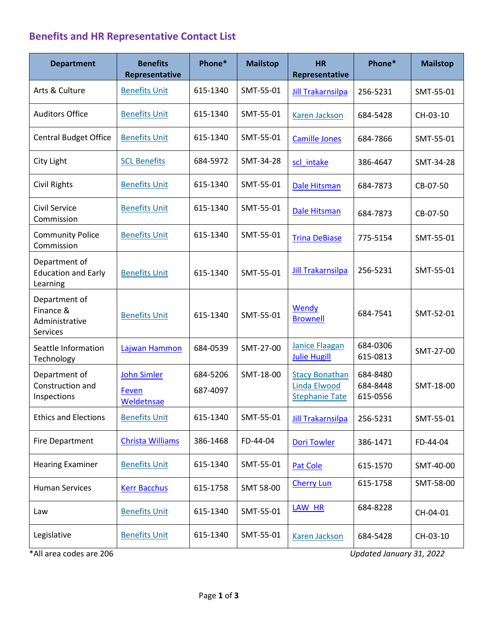## **Benefits and HR Representative Contact List**

| <b>Department</b>                                        | <b>Benefits</b><br>Representative         | Phone*               | <b>Mailstop</b> | <b>HR</b><br>Representative                                           | Phone*                           | <b>Mailstop</b> |
|----------------------------------------------------------|-------------------------------------------|----------------------|-----------------|-----------------------------------------------------------------------|----------------------------------|-----------------|
| Arts & Culture                                           | <b>Benefits Unit</b>                      | 615-1340             | SMT-55-01       | <b>Jill Trakarnsilpa</b>                                              | 256-5231                         | SMT-55-01       |
| <b>Auditors Office</b>                                   | <b>Benefits Unit</b>                      | 615-1340             | SMT-55-01       | Karen Jackson                                                         | 684-5428                         | CH-03-10        |
| <b>Central Budget Office</b>                             | <b>Benefits Unit</b>                      | 615-1340             | SMT-55-01       | <b>Camille Jones</b>                                                  | 684-7866                         | SMT-55-01       |
| City Light                                               | <b>SCL Benefits</b>                       | 684-5972             | SMT-34-28       | scl intake                                                            | 386-4647                         | SMT-34-28       |
| Civil Rights                                             | <b>Benefits Unit</b>                      | 615-1340             | SMT-55-01       | Dale Hitsman                                                          | 684-7873                         | CB-07-50        |
| Civil Service<br>Commission                              | <b>Benefits Unit</b>                      | 615-1340             | SMT-55-01       | Dale Hitsman                                                          | 684-7873                         | CB-07-50        |
| <b>Community Police</b><br>Commission                    | <b>Benefits Unit</b>                      | 615-1340             | SMT-55-01       | <b>Trina DeBiase</b>                                                  | 775-5154                         | SMT-55-01       |
| Department of<br><b>Education and Early</b><br>Learning  | <b>Benefits Unit</b>                      | 615-1340             | SMT-55-01       | <b>Jill Trakarnsilpa</b>                                              | 256-5231                         | SMT-55-01       |
| Department of<br>Finance &<br>Administrative<br>Services | <b>Benefits Unit</b>                      | 615-1340             | SMT-55-01       | Wendy<br><b>Brownell</b>                                              | 684-7541                         | SMT-52-01       |
| Seattle Information<br>Technology                        | Lajwan Hammon                             | 684-0539             | SMT-27-00       | <b>Janice Flaagan</b><br><b>Julie Hugill</b>                          | 684-0306<br>615-0813             | SMT-27-00       |
| Department of<br>Construction and<br>Inspections         | <b>John Simler</b><br>Feven<br>Weldetnsae | 684-5206<br>687-4097 | SMT-18-00       | <b>Stacy Bonathan</b><br><b>Linda Elwood</b><br><b>Stephanie Tate</b> | 684-8480<br>684-8448<br>615-0556 | SMT-18-00       |
| <b>Ethics and Elections</b>                              | <b>Benefits Unit</b>                      | 615-1340             | SMT-55-01       | <b>Jill Trakarnsilpa</b>                                              | 256-5231                         | SMT-55-01       |
| <b>Fire Department</b>                                   | Christa Williams                          | 386-1468             | FD-44-04        | <b>Dori Towler</b>                                                    | 386-1471                         | FD-44-04        |
| <b>Hearing Examiner</b>                                  | <b>Benefits Unit</b>                      | 615-1340             | SMT-55-01       | Pat Cole                                                              | 615-1570                         | SMT-40-00       |
| <b>Human Services</b>                                    | <b>Kerr Bacchus</b>                       | 615-1758             | SMT 58-00       | <b>Cherry Lun</b>                                                     | 615-1758                         | SMT-58-00       |
| Law                                                      | <b>Benefits Unit</b>                      | 615-1340             | SMT-55-01       | LAW HR                                                                | 684-8228                         | CH-04-01        |
| Legislative                                              | <b>Benefits Unit</b>                      | 615-1340             | SMT-55-01       | <b>Karen Jackson</b>                                                  | 684-5428                         | CH-03-10        |

\*All area codes are 206 *Updated January 31, 2022*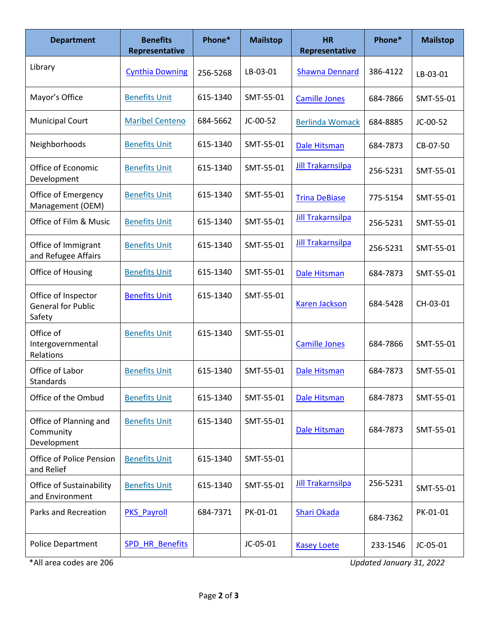| <b>Department</b>                                          | <b>Benefits</b><br>Representative | Phone*   | <b>Mailstop</b> | <b>HR</b><br>Representative | Phone*   | <b>Mailstop</b> |
|------------------------------------------------------------|-----------------------------------|----------|-----------------|-----------------------------|----------|-----------------|
| Library                                                    | <b>Cynthia Downing</b>            | 256-5268 | LB-03-01        | <b>Shawna Dennard</b>       | 386-4122 | LB-03-01        |
| Mayor's Office                                             | <b>Benefits Unit</b>              | 615-1340 | SMT-55-01       | <b>Camille Jones</b>        | 684-7866 | SMT-55-01       |
| <b>Municipal Court</b>                                     | <b>Maribel Centeno</b>            | 684-5662 | JC-00-52        | <b>Berlinda Womack</b>      | 684-8885 | JC-00-52        |
| Neighborhoods                                              | <b>Benefits Unit</b>              | 615-1340 | SMT-55-01       | Dale Hitsman                | 684-7873 | CB-07-50        |
| Office of Economic<br>Development                          | <b>Benefits Unit</b>              | 615-1340 | SMT-55-01       | <b>Jill Trakarnsilpa</b>    | 256-5231 | SMT-55-01       |
| Office of Emergency<br>Management (OEM)                    | <b>Benefits Unit</b>              | 615-1340 | SMT-55-01       | <b>Trina DeBiase</b>        | 775-5154 | SMT-55-01       |
| Office of Film & Music                                     | <b>Benefits Unit</b>              | 615-1340 | SMT-55-01       | <b>Jill Trakarnsilpa</b>    | 256-5231 | SMT-55-01       |
| Office of Immigrant<br>and Refugee Affairs                 | <b>Benefits Unit</b>              | 615-1340 | SMT-55-01       | <b>Jill Trakarnsilpa</b>    | 256-5231 | SMT-55-01       |
| Office of Housing                                          | <b>Benefits Unit</b>              | 615-1340 | SMT-55-01       | <b>Dale Hitsman</b>         | 684-7873 | SMT-55-01       |
| Office of Inspector<br><b>General for Public</b><br>Safety | <b>Benefits Unit</b>              | 615-1340 | SMT-55-01       | <b>Karen Jackson</b>        | 684-5428 | CH-03-01        |
| Office of<br>Intergovernmental<br>Relations                | <b>Benefits Unit</b>              | 615-1340 | SMT-55-01       | <b>Camille Jones</b>        | 684-7866 | SMT-55-01       |
| Office of Labor<br>Standards                               | <b>Benefits Unit</b>              | 615-1340 | SMT-55-01       | <b>Dale Hitsman</b>         | 684-7873 | SMT-55-01       |
| Office of the Ombud                                        | <b>Benefits Unit</b>              | 615-1340 | SMT-55-01       | <b>Dale Hitsman</b>         | 684-7873 | SMT-55-01       |
| Office of Planning and<br>Community<br>Development         | <b>Benefits Unit</b>              | 615-1340 | SMT-55-01       | Dale Hitsman                | 684-7873 | SMT-55-01       |
| Office of Police Pension<br>and Relief                     | <b>Benefits Unit</b>              | 615-1340 | SMT-55-01       |                             |          |                 |
| Office of Sustainability<br>and Environment                | <b>Benefits Unit</b>              | 615-1340 | SMT-55-01       | <b>Jill Trakarnsilpa</b>    | 256-5231 | SMT-55-01       |
| Parks and Recreation                                       | <b>PKS Payroll</b>                | 684-7371 | PK-01-01        | <b>Shari Okada</b>          | 684-7362 | PK-01-01        |
| Police Department                                          | <b>SPD HR Benefits</b>            |          | JC-05-01        | <b>Kasey Loete</b>          | 233-1546 | JC-05-01        |

\*All area codes are 206 *Updated January 31, 2022*